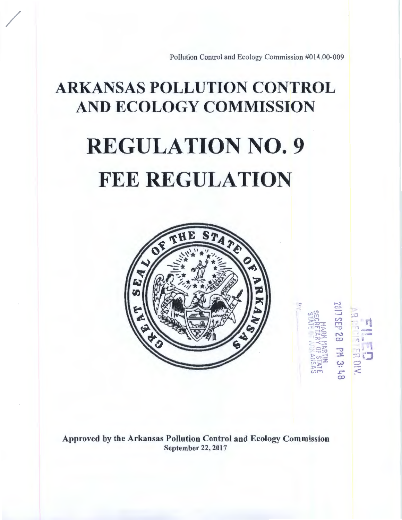Pollution Control and Ecology Commission #014.00-009

J ~  $\omega_{\rm m}^{\rm on}$  $\Xi$  $\Xi$  $-12.7$  $r \cdot r \cdot \frac{1}{2}$  $-1$ <sup>r</sup>,;o 1~.;::':  $~\leq$ :/~j-~;  $\approx$   $m$  $\equiv$  $~\sigma$   $~\sigma$  $\Xi^+_{\rm out}$ 

.-.::o C..:J  $\equiv$  $\ddot{\mathcal{O}}$ r-r'1 -o N  $\tilde{\infty}$ -o - 14<br>(კ w .. *c*co

""""1  $\frac{1}{2}$  . il 'l " ,.- . ... ,. ) J - . ' . ·I *<sup>J</sup>*  $\mathbb{Z}$  $\subset$ *:<* 

# ARKANSAS POLLUTION CONTROL AND ECOLOGY COMMISSION

/

# REGULATION NO. 9 FEE REGULATION



Approved by the Arkansas Pollution Control and Ecology Commission September 22, 2017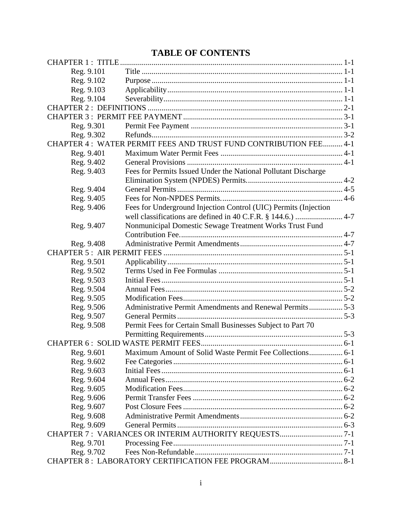# **TABLE OF CONTENTS**

| Reg. 9.101 |                                                                   |  |
|------------|-------------------------------------------------------------------|--|
| Reg. 9.102 |                                                                   |  |
| Reg. 9.103 |                                                                   |  |
| Reg. 9.104 |                                                                   |  |
|            |                                                                   |  |
|            |                                                                   |  |
| Reg. 9.301 |                                                                   |  |
| Reg. 9.302 |                                                                   |  |
|            | CHAPTER 4: WATER PERMIT FEES AND TRUST FUND CONTRIBUTION FEE  4-1 |  |
| Reg. 9.401 |                                                                   |  |
| Reg. 9.402 |                                                                   |  |
| Reg. 9.403 | Fees for Permits Issued Under the National Pollutant Discharge    |  |
|            |                                                                   |  |
| Reg. 9.404 |                                                                   |  |
| Reg. 9.405 |                                                                   |  |
| Reg. 9.406 | Fees for Underground Injection Control (UIC) Permits (Injection   |  |
|            |                                                                   |  |
| Reg. 9.407 | Nonmunicipal Domestic Sewage Treatment Works Trust Fund           |  |
|            |                                                                   |  |
| Reg. 9.408 |                                                                   |  |
|            |                                                                   |  |
| Reg. 9.501 |                                                                   |  |
| Reg. 9.502 |                                                                   |  |
| Reg. 9.503 |                                                                   |  |
| Reg. 9.504 |                                                                   |  |
| Reg. 9.505 |                                                                   |  |
| Reg. 9.506 | Administrative Permit Amendments and Renewal Permits 5-3          |  |
| Reg. 9.507 |                                                                   |  |
| Reg. 9.508 | Permit Fees for Certain Small Businesses Subject to Part 70       |  |
|            |                                                                   |  |
|            |                                                                   |  |
| Reg. 9.601 |                                                                   |  |
| Reg. 9.602 |                                                                   |  |
| Reg. 9.603 |                                                                   |  |
| Reg. 9.604 |                                                                   |  |
| Reg. 9.605 |                                                                   |  |
| Reg. 9.606 |                                                                   |  |
| Reg. 9.607 |                                                                   |  |
| Reg. 9.608 |                                                                   |  |
| Reg. 9.609 |                                                                   |  |
|            |                                                                   |  |
| Reg. 9.701 |                                                                   |  |
| Reg. 9.702 |                                                                   |  |
|            |                                                                   |  |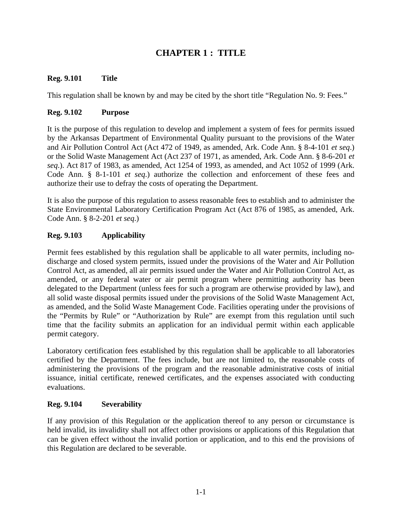# **CHAPTER 1 : TITLE**

#### **Reg. 9.101 Title**

This regulation shall be known by and may be cited by the short title "Regulation No. 9: Fees."

#### **Reg. 9.102 Purpose**

It is the purpose of this regulation to develop and implement a system of fees for permits issued by the Arkansas Department of Environmental Quality pursuant to the provisions of the Water and Air Pollution Control Act (Act 472 of 1949, as amended, Ark. Code Ann. § 8-4-101 *et seq*.) or the Solid Waste Management Act (Act 237 of 1971, as amended, Ark. Code Ann. § 8-6-201 *et seq*.). Act 817 of 1983, as amended, Act 1254 of 1993, as amended, and Act 1052 of 1999 (Ark. Code Ann. § 8-1-101 *et seq*.) authorize the collection and enforcement of these fees and authorize their use to defray the costs of operating the Department.

It is also the purpose of this regulation to assess reasonable fees to establish and to administer the State Environmental Laboratory Certification Program Act (Act 876 of 1985, as amended, Ark. Code Ann. § 8-2-201 *et seq*.)

#### **Reg. 9.103 Applicability**

Permit fees established by this regulation shall be applicable to all water permits, including nodischarge and closed system permits, issued under the provisions of the Water and Air Pollution Control Act, as amended, all air permits issued under the Water and Air Pollution Control Act, as amended, or any federal water or air permit program where permitting authority has been delegated to the Department (unless fees for such a program are otherwise provided by law), and all solid waste disposal permits issued under the provisions of the Solid Waste Management Act, as amended, and the Solid Waste Management Code. Facilities operating under the provisions of the "Permits by Rule" or "Authorization by Rule" are exempt from this regulation until such time that the facility submits an application for an individual permit within each applicable permit category.

Laboratory certification fees established by this regulation shall be applicable to all laboratories certified by the Department. The fees include, but are not limited to, the reasonable costs of administering the provisions of the program and the reasonable administrative costs of initial issuance, initial certificate, renewed certificates, and the expenses associated with conducting evaluations.

#### **Reg. 9.104 Severability**

If any provision of this Regulation or the application thereof to any person or circumstance is held invalid, its invalidity shall not affect other provisions or applications of this Regulation that can be given effect without the invalid portion or application, and to this end the provisions of this Regulation are declared to be severable.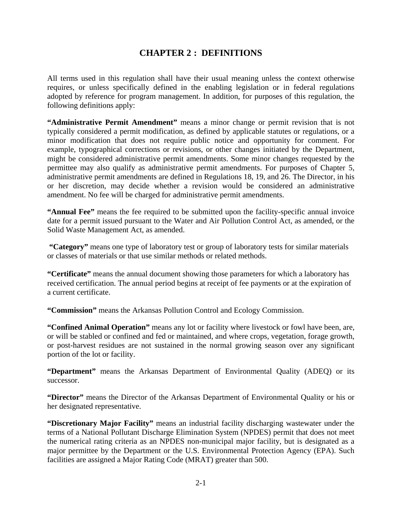## **CHAPTER 2 : DEFINITIONS**

All terms used in this regulation shall have their usual meaning unless the context otherwise requires, or unless specifically defined in the enabling legislation or in federal regulations adopted by reference for program management. In addition, for purposes of this regulation, the following definitions apply:

**"Administrative Permit Amendment"** means a minor change or permit revision that is not typically considered a permit modification, as defined by applicable statutes or regulations, or a minor modification that does not require public notice and opportunity for comment. For example, typographical corrections or revisions, or other changes initiated by the Department, might be considered administrative permit amendments. Some minor changes requested by the permittee may also qualify as administrative permit amendments. For purposes of Chapter 5, administrative permit amendments are defined in Regulations 18, 19, and 26. The Director, in his or her discretion, may decide whether a revision would be considered an administrative amendment. No fee will be charged for administrative permit amendments.

**"Annual Fee"** means the fee required to be submitted upon the facility-specific annual invoice date for a permit issued pursuant to the Water and Air Pollution Control Act, as amended, or the Solid Waste Management Act, as amended.

 **"Category"** means one type of laboratory test or group of laboratory tests for similar materials or classes of materials or that use similar methods or related methods.

**"Certificate"** means the annual document showing those parameters for which a laboratory has received certification. The annual period begins at receipt of fee payments or at the expiration of a current certificate.

**"Commission"** means the Arkansas Pollution Control and Ecology Commission.

**"Confined Animal Operation"** means any lot or facility where livestock or fowl have been, are, or will be stabled or confined and fed or maintained, and where crops, vegetation, forage growth, or post-harvest residues are not sustained in the normal growing season over any significant portion of the lot or facility.

**"Department"** means the Arkansas Department of Environmental Quality (ADEQ) or its successor.

**"Director"** means the Director of the Arkansas Department of Environmental Quality or his or her designated representative.

**"Discretionary Major Facility"** means an industrial facility discharging wastewater under the terms of a National Pollutant Discharge Elimination System (NPDES) permit that does not meet the numerical rating criteria as an NPDES non-municipal major facility, but is designated as a major permittee by the Department or the U.S. Environmental Protection Agency (EPA). Such facilities are assigned a Major Rating Code (MRAT) greater than 500.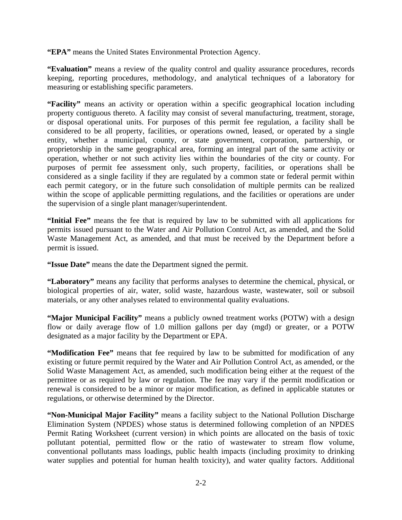**"EPA"** means the United States Environmental Protection Agency.

**"Evaluation"** means a review of the quality control and quality assurance procedures, records keeping, reporting procedures, methodology, and analytical techniques of a laboratory for measuring or establishing specific parameters.

**"Facility"** means an activity or operation within a specific geographical location including property contiguous thereto. A facility may consist of several manufacturing, treatment, storage, or disposal operational units. For purposes of this permit fee regulation, a facility shall be considered to be all property, facilities, or operations owned, leased, or operated by a single entity, whether a municipal, county, or state government, corporation, partnership, or proprietorship in the same geographical area, forming an integral part of the same activity or operation, whether or not such activity lies within the boundaries of the city or county. For purposes of permit fee assessment only, such property, facilities, or operations shall be considered as a single facility if they are regulated by a common state or federal permit within each permit category, or in the future such consolidation of multiple permits can be realized within the scope of applicable permitting regulations, and the facilities or operations are under the supervision of a single plant manager/superintendent.

**"Initial Fee"** means the fee that is required by law to be submitted with all applications for permits issued pursuant to the Water and Air Pollution Control Act, as amended, and the Solid Waste Management Act, as amended, and that must be received by the Department before a permit is issued.

**"Issue Date"** means the date the Department signed the permit.

**"Laboratory"** means any facility that performs analyses to determine the chemical, physical, or biological properties of air, water, solid waste, hazardous waste, wastewater, soil or subsoil materials, or any other analyses related to environmental quality evaluations.

**"Major Municipal Facility"** means a publicly owned treatment works (POTW) with a design flow or daily average flow of 1.0 million gallons per day (mgd) or greater, or a POTW designated as a major facility by the Department or EPA.

**"Modification Fee"** means that fee required by law to be submitted for modification of any existing or future permit required by the Water and Air Pollution Control Act, as amended, or the Solid Waste Management Act, as amended, such modification being either at the request of the permittee or as required by law or regulation. The fee may vary if the permit modification or renewal is considered to be a minor or major modification, as defined in applicable statutes or regulations, or otherwise determined by the Director.

**"Non-Municipal Major Facility"** means a facility subject to the National Pollution Discharge Elimination System (NPDES) whose status is determined following completion of an NPDES Permit Rating Worksheet (current version) in which points are allocated on the basis of toxic pollutant potential, permitted flow or the ratio of wastewater to stream flow volume, conventional pollutants mass loadings, public health impacts (including proximity to drinking water supplies and potential for human health toxicity), and water quality factors. Additional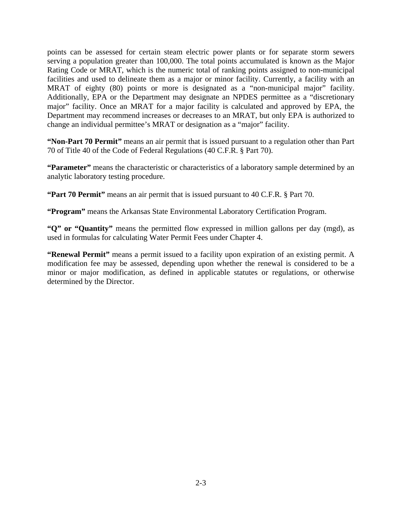points can be assessed for certain steam electric power plants or for separate storm sewers serving a population greater than 100,000. The total points accumulated is known as the Major Rating Code or MRAT, which is the numeric total of ranking points assigned to non-municipal facilities and used to delineate them as a major or minor facility. Currently, a facility with an MRAT of eighty (80) points or more is designated as a "non-municipal major" facility. Additionally, EPA or the Department may designate an NPDES permittee as a "discretionary major" facility. Once an MRAT for a major facility is calculated and approved by EPA, the Department may recommend increases or decreases to an MRAT, but only EPA is authorized to change an individual permittee's MRAT or designation as a "major" facility.

**"Non-Part 70 Permit"** means an air permit that is issued pursuant to a regulation other than Part 70 of Title 40 of the Code of Federal Regulations (40 C.F.R. § Part 70).

**"Parameter"** means the characteristic or characteristics of a laboratory sample determined by an analytic laboratory testing procedure.

**"Part 70 Permit"** means an air permit that is issued pursuant to 40 C.F.R. § Part 70.

**"Program"** means the Arkansas State Environmental Laboratory Certification Program.

**"Q" or "Quantity"** means the permitted flow expressed in million gallons per day (mgd), as used in formulas for calculating Water Permit Fees under Chapter 4.

**"Renewal Permit"** means a permit issued to a facility upon expiration of an existing permit. A modification fee may be assessed, depending upon whether the renewal is considered to be a minor or major modification, as defined in applicable statutes or regulations, or otherwise determined by the Director.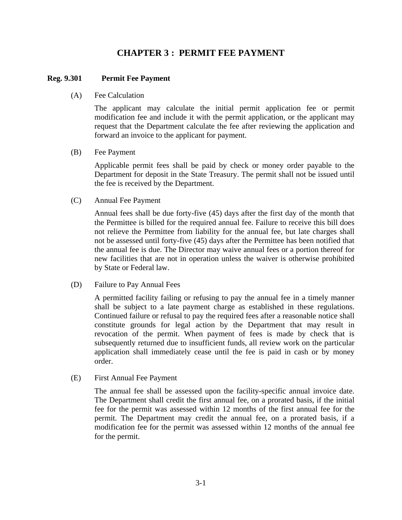## **CHAPTER 3 : PERMIT FEE PAYMENT**

#### **Reg. 9.301 Permit Fee Payment**

#### (A) Fee Calculation

The applicant may calculate the initial permit application fee or permit modification fee and include it with the permit application, or the applicant may request that the Department calculate the fee after reviewing the application and forward an invoice to the applicant for payment.

#### (B) Fee Payment

Applicable permit fees shall be paid by check or money order payable to the Department for deposit in the State Treasury. The permit shall not be issued until the fee is received by the Department.

(C) Annual Fee Payment

Annual fees shall be due forty-five (45) days after the first day of the month that the Permittee is billed for the required annual fee. Failure to receive this bill does not relieve the Permittee from liability for the annual fee, but late charges shall not be assessed until forty-five (45) days after the Permittee has been notified that the annual fee is due. The Director may waive annual fees or a portion thereof for new facilities that are not in operation unless the waiver is otherwise prohibited by State or Federal law.

(D) Failure to Pay Annual Fees

A permitted facility failing or refusing to pay the annual fee in a timely manner shall be subject to a late payment charge as established in these regulations. Continued failure or refusal to pay the required fees after a reasonable notice shall constitute grounds for legal action by the Department that may result in revocation of the permit. When payment of fees is made by check that is subsequently returned due to insufficient funds, all review work on the particular application shall immediately cease until the fee is paid in cash or by money order.

(E) First Annual Fee Payment

The annual fee shall be assessed upon the facility-specific annual invoice date. The Department shall credit the first annual fee, on a prorated basis, if the initial fee for the permit was assessed within 12 months of the first annual fee for the permit. The Department may credit the annual fee, on a prorated basis, if a modification fee for the permit was assessed within 12 months of the annual fee for the permit.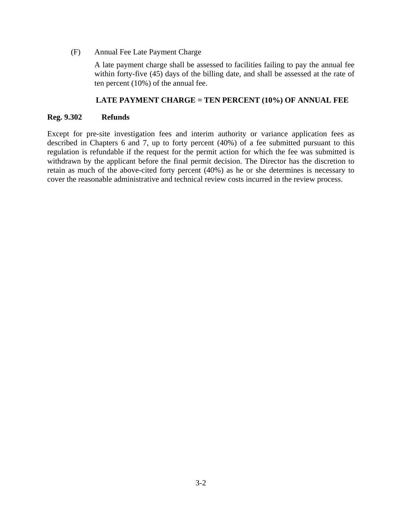(F) Annual Fee Late Payment Charge

A late payment charge shall be assessed to facilities failing to pay the annual fee within forty-five (45) days of the billing date, and shall be assessed at the rate of ten percent (10%) of the annual fee.

#### **LATE PAYMENT CHARGE = TEN PERCENT (10%) OF ANNUAL FEE**

#### **Reg. 9.302 Refunds**

Except for pre-site investigation fees and interim authority or variance application fees as described in Chapters 6 and 7, up to forty percent (40%) of a fee submitted pursuant to this regulation is refundable if the request for the permit action for which the fee was submitted is withdrawn by the applicant before the final permit decision. The Director has the discretion to retain as much of the above-cited forty percent (40%) as he or she determines is necessary to cover the reasonable administrative and technical review costs incurred in the review process.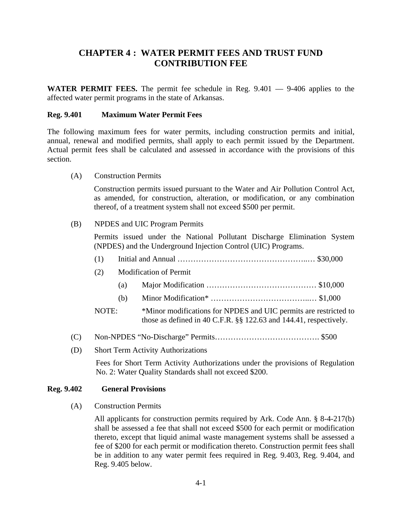# **CHAPTER 4 : WATER PERMIT FEES AND TRUST FUND CONTRIBUTION FEE**

**WATER PERMIT FEES.** The permit fee schedule in Reg. 9.401 — 9-406 applies to the affected water permit programs in the state of Arkansas.

#### **Reg. 9.401 Maximum Water Permit Fees**

The following maximum fees for water permits, including construction permits and initial, annual, renewal and modified permits, shall apply to each permit issued by the Department. Actual permit fees shall be calculated and assessed in accordance with the provisions of this section.

(A) Construction Permits

Construction permits issued pursuant to the Water and Air Pollution Control Act, as amended, for construction, alteration, or modification, or any combination thereof, of a treatment system shall not exceed \$500 per permit.

#### (B) NPDES and UIC Program Permits

Permits issued under the National Pollutant Discharge Elimination System (NPDES) and the Underground Injection Control (UIC) Programs.

|     | (1)   |     |                                                                                                                                       |  |
|-----|-------|-----|---------------------------------------------------------------------------------------------------------------------------------------|--|
|     | (2)   |     | <b>Modification of Permit</b>                                                                                                         |  |
|     |       | (a) |                                                                                                                                       |  |
|     |       | (b) |                                                                                                                                       |  |
|     | NOTE: |     | *Minor modifications for NPDES and UIC permits are restricted to<br>those as defined in 40 C.F.R. §§ 122.63 and 144.41, respectively. |  |
| (C) |       |     |                                                                                                                                       |  |

(D) Short Term Activity Authorizations

Fees for Short Term Activity Authorizations under the provisions of Regulation No. 2: Water Quality Standards shall not exceed \$200.

#### **Reg. 9.402 General Provisions**

(A) Construction Permits

All applicants for construction permits required by Ark. Code Ann. § 8-4-217(b) shall be assessed a fee that shall not exceed \$500 for each permit or modification thereto, except that liquid animal waste management systems shall be assessed a fee of \$200 for each permit or modification thereto. Construction permit fees shall be in addition to any water permit fees required in Reg. 9.403, Reg. 9.404, and Reg. 9.405 below.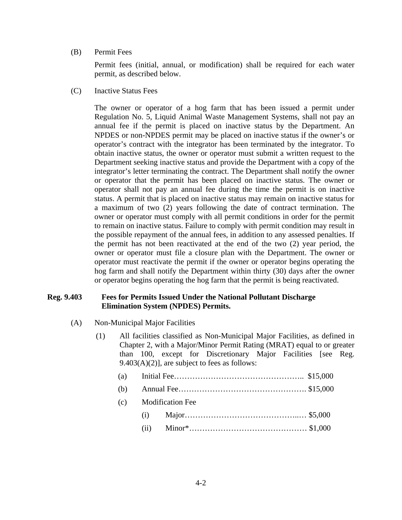#### (B) Permit Fees

Permit fees (initial, annual, or modification) shall be required for each water permit, as described below.

(C) Inactive Status Fees

The owner or operator of a hog farm that has been issued a permit under Regulation No. 5, Liquid Animal Waste Management Systems, shall not pay an annual fee if the permit is placed on inactive status by the Department. An NPDES or non-NPDES permit may be placed on inactive status if the owner's or operator's contract with the integrator has been terminated by the integrator. To obtain inactive status, the owner or operator must submit a written request to the Department seeking inactive status and provide the Department with a copy of the integrator's letter terminating the contract. The Department shall notify the owner or operator that the permit has been placed on inactive status. The owner or operator shall not pay an annual fee during the time the permit is on inactive status. A permit that is placed on inactive status may remain on inactive status for a maximum of two (2) years following the date of contract termination. The owner or operator must comply with all permit conditions in order for the permit to remain on inactive status. Failure to comply with permit condition may result in the possible repayment of the annual fees, in addition to any assessed penalties. If the permit has not been reactivated at the end of the two (2) year period, the owner or operator must file a closure plan with the Department. The owner or operator must reactivate the permit if the owner or operator begins operating the hog farm and shall notify the Department within thirty (30) days after the owner or operator begins operating the hog farm that the permit is being reactivated.

#### **Reg. 9.403 Fees for Permits Issued Under the National Pollutant Discharge Elimination System (NPDES) Permits.**

- (A) Non-Municipal Major Facilities
	- (1) All facilities classified as Non-Municipal Major Facilities, as defined in Chapter 2, with a Major/Minor Permit Rating (MRAT) equal to or greater than 100, except for Discretionary Major Facilities [see Reg.  $9.403(A)(2)$ ], are subject to fees as follows:

| (b) |      |                      |
|-----|------|----------------------|
|     |      | (c) Modification Fee |
|     | (i)  |                      |
|     | (ii) |                      |
|     |      |                      |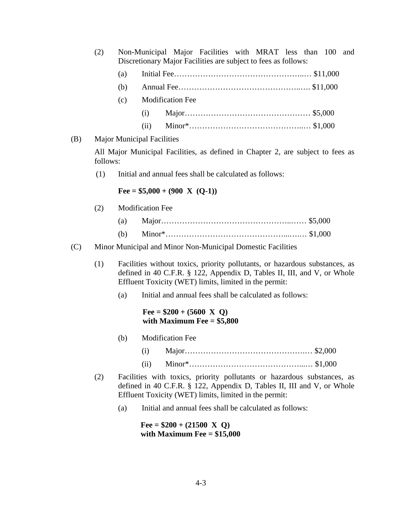| (2) |     |                                   |                         | Non-Municipal Major Facilities with MRAT less than 100 and<br>Discretionary Major Facilities are subject to fees as follows: |  |  |  |
|-----|-----|-----------------------------------|-------------------------|------------------------------------------------------------------------------------------------------------------------------|--|--|--|
|     | (a) |                                   |                         |                                                                                                                              |  |  |  |
|     | (b) |                                   |                         |                                                                                                                              |  |  |  |
|     | (c) |                                   | <b>Modification Fee</b> |                                                                                                                              |  |  |  |
|     |     | (i)                               |                         |                                                                                                                              |  |  |  |
|     |     | (ii)                              |                         |                                                                                                                              |  |  |  |
|     |     | <b>Major Municipal Facilities</b> |                         |                                                                                                                              |  |  |  |

All Major Municipal Facilities, as defined in Chapter 2, are subject to fees as follows:

(1) Initial and annual fees shall be calculated as follows:

 $\text{Fee} = $5,000 + (900 \text{ X } (Q-1))$ 

(2) Modification Fee

 $(B)$ 

- (a) Major…………………………………………..…… \$5,000
- (b) Minor\*………………………………………...….… \$1,000
- (C) Minor Municipal and Minor Non-Municipal Domestic Facilities
	- (1) Facilities without toxics, priority pollutants, or hazardous substances, as defined in 40 C.F.R. § 122, Appendix D, Tables II, III, and V, or Whole Effluent Toxicity (WET) limits, limited in the permit:
		- (a) Initial and annual fees shall be calculated as follows:

#### $\text{Fee} = $200 + (5600 \text{ X Q})$ **with Maximum Fee = \$5,800**

- (b) Modification Fee
	- (i) Major……………………………………….… \$2,000
	- (ii) Minor\*……………………………………...… \$1,000
- (2) Facilities with toxics, priority pollutants or hazardous substances, as defined in 40 C.F.R. § 122, Appendix D, Tables II, III and V, or Whole Effluent Toxicity (WET) limits, limited in the permit:
	- (a) Initial and annual fees shall be calculated as follows:

 $\text{Fee} = $200 + (21500 \text{ X Q})$ **with Maximum Fee = \$15,000**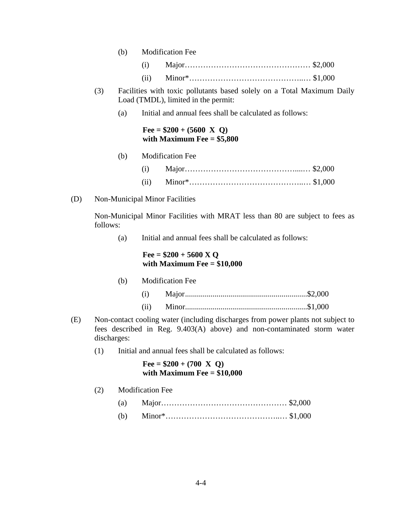|     |          | (b) |      | <b>Modification Fee</b>                                                                                       |  |
|-----|----------|-----|------|---------------------------------------------------------------------------------------------------------------|--|
|     |          |     | (i)  |                                                                                                               |  |
|     |          |     | (ii) |                                                                                                               |  |
|     | (3)      |     |      | Facilities with toxic pollutants based solely on a Total Maximum Daily<br>Load (TMDL), limited in the permit: |  |
|     |          | (a) |      | Initial and annual fees shall be calculated as follows:                                                       |  |
|     |          |     |      | Fee = $$200 + (5600 \text{ X Q})$<br>with Maximum Fee $= $5,800$                                              |  |
|     |          | (b) |      | <b>Modification Fee</b>                                                                                       |  |
|     |          |     | (i)  |                                                                                                               |  |
|     |          |     | (ii) |                                                                                                               |  |
| (D) |          |     |      | Non-Municipal Minor Facilities                                                                                |  |
|     | follows: |     |      | Non-Municipal Minor Facilities with MRAT less than 80 are subject to fees as                                  |  |

(a) Initial and annual fees shall be calculated as follows:

#### **Fee = \$200 + 5600 X Q with Maximum Fee = \$10,000**

|  | (b) Modification Fee |  |
|--|----------------------|--|
|  |                      |  |
|  |                      |  |

- (E) Non-contact cooling water (including discharges from power plants not subject to fees described in Reg. 9.403(A) above) and non-contaminated storm water discharges:
	- (1) Initial and annual fees shall be calculated as follows:

#### $\text{Fee} = $200 + (700 \text{ X Q})$ **with Maximum Fee = \$10,000**

(2) Modification Fee

| (a) |  |  |
|-----|--|--|
|-----|--|--|

(b) Minor\*……………………………………..… \$1,000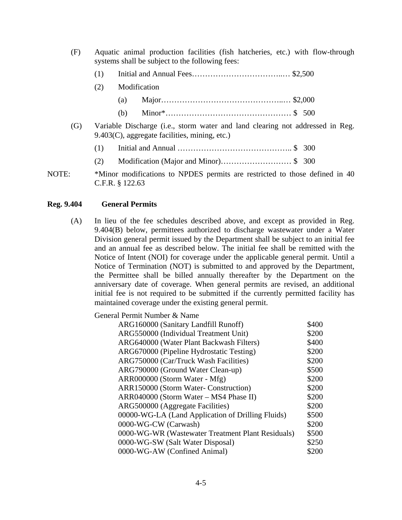(F) Aquatic animal production facilities (fish hatcheries, etc.) with flow-through systems shall be subject to the following fees:

| (1) |  |  |
|-----|--|--|
|-----|--|--|

- (2) Modification
	- (a) Major………………………………………..… \$2,000 (b) Minor\*………………………………………… \$ 500
- (G) Variable Discharge (i.e., storm water and land clearing not addressed in Reg. 9.403(C), aggregate facilities, mining, etc.)
	- (1) Initial and Annual …………………………………….. \$ 300
	- (2) Modification (Major and Minor)……………………… \$ 300
- NOTE: \*Minor modifications to NPDES permits are restricted to those defined in 40 C.F.R. § 122.63

#### **Reg. 9.404 General Permits**

(A) In lieu of the fee schedules described above, and except as provided in Reg. 9.404(B) below, permittees authorized to discharge wastewater under a Water Division general permit issued by the Department shall be subject to an initial fee and an annual fee as described below. The initial fee shall be remitted with the Notice of Intent (NOI) for coverage under the applicable general permit. Until a Notice of Termination (NOT) is submitted to and approved by the Department, the Permittee shall be billed annually thereafter by the Department on the anniversary date of coverage. When general permits are revised, an additional initial fee is not required to be submitted if the currently permitted facility has maintained coverage under the existing general permit.

| General Permit Number & Name                      |       |
|---------------------------------------------------|-------|
| ARG160000 (Sanitary Landfill Runoff)              | \$400 |
| ARG550000 (Individual Treatment Unit)             | \$200 |
| ARG640000 (Water Plant Backwash Filters)          | \$400 |
| ARG670000 (Pipeline Hydrostatic Testing)          | \$200 |
| ARG750000 (Car/Truck Wash Facilities)             | \$200 |
| ARG790000 (Ground Water Clean-up)                 | \$500 |
| ARR000000 (Storm Water - Mfg)                     | \$200 |
| <b>ARR150000 (Storm Water- Construction)</b>      | \$200 |
| ARR040000 (Storm Water – MS4 Phase II)            | \$200 |
| ARG500000 (Aggregate Facilities)                  | \$200 |
| 00000-WG-LA (Land Application of Drilling Fluids) | \$500 |
| 0000-WG-CW (Carwash)                              | \$200 |
| 0000-WG-WR (Wastewater Treatment Plant Residuals) | \$500 |
| 0000-WG-SW (Salt Water Disposal)                  | \$250 |
| 0000-WG-AW (Confined Animal)                      | \$200 |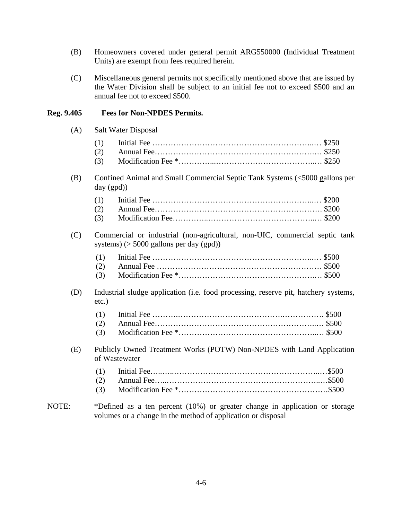- (B) Homeowners covered under general permit ARG550000 (Individual Treatment Units) are exempt from fees required herein.
- (C) Miscellaneous general permits not specifically mentioned above that are issued by the Water Division shall be subject to an initial fee not to exceed \$500 and an annual fee not to exceed \$500.

#### **Reg. 9.405 Fees for Non-NPDES Permits.**

(A) Salt Water Disposal

(B) Confined Animal and Small Commercial Septic Tank Systems (<5000 gallons per day (gpd))

(C) Commercial or industrial (non-agricultural, non-UIC, commercial septic tank systems) (> 5000 gallons per day (gpd))

(D) Industrial sludge application (i.e. food processing, reserve pit, hatchery systems, etc.)

(E) Publicly Owned Treatment Works (POTW) Non-NPDES with Land Application of Wastewater

NOTE: \*Defined as a ten percent (10%) or greater change in application or storage volumes or a change in the method of application or disposal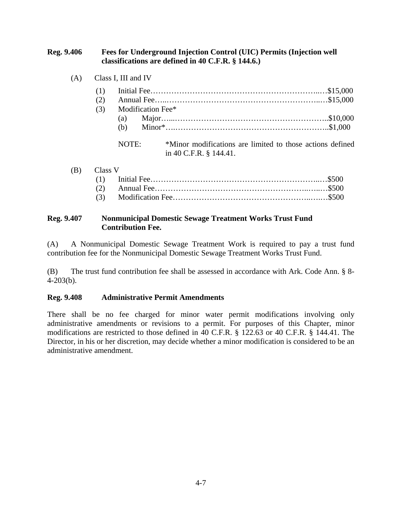#### **Reg. 9.406 Fees for Underground Injection Control (UIC) Permits (Injection well classifications are defined in 40 C.F.R. § 144.6.)**

(A) Class I, III and IV

| (1)<br>(2)<br>(3)<br>(a) | Modification Fee*                                                                   |  |
|--------------------------|-------------------------------------------------------------------------------------|--|
| (h)<br>NOTE:             | *Minor modifications are limited to those actions defined<br>in 40 C.F.R. § 144.41. |  |

| (B) Class V |  |
|-------------|--|
|             |  |
|             |  |
|             |  |

#### **Reg. 9.407 Nonmunicipal Domestic Sewage Treatment Works Trust Fund Contribution Fee.**

(A) A Nonmunicipal Domestic Sewage Treatment Work is required to pay a trust fund contribution fee for the Nonmunicipal Domestic Sewage Treatment Works Trust Fund.

(B) The trust fund contribution fee shall be assessed in accordance with Ark. Code Ann. § 8- 4-203(b).

#### **Reg. 9.408 Administrative Permit Amendments**

There shall be no fee charged for minor water permit modifications involving only administrative amendments or revisions to a permit. For purposes of this Chapter, minor modifications are restricted to those defined in 40 C.F.R. § 122.63 or 40 C.F.R. § 144.41. The Director, in his or her discretion, may decide whether a minor modification is considered to be an administrative amendment.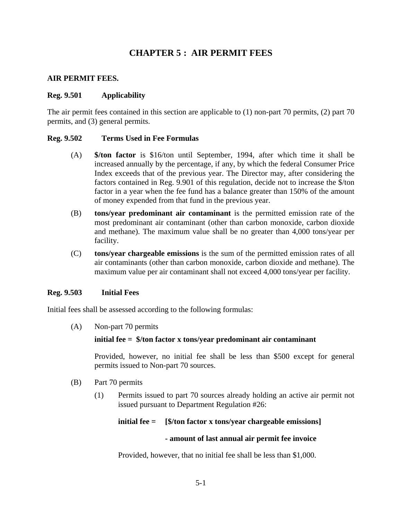# **CHAPTER 5 : AIR PERMIT FEES**

#### **AIR PERMIT FEES.**

#### **Reg. 9.501 Applicability**

The air permit fees contained in this section are applicable to (1) non-part 70 permits, (2) part 70 permits, and (3) general permits.

#### **Reg. 9.502 Terms Used in Fee Formulas**

- (A) **\$/ton factor** is \$16/ton until September, 1994, after which time it shall be increased annually by the percentage, if any, by which the federal Consumer Price Index exceeds that of the previous year. The Director may, after considering the factors contained in Reg. 9.901 of this regulation, decide not to increase the \$/ton factor in a year when the fee fund has a balance greater than 150% of the amount of money expended from that fund in the previous year.
- (B) **tons/year predominant air contaminant** is the permitted emission rate of the most predominant air contaminant (other than carbon monoxide, carbon dioxide and methane). The maximum value shall be no greater than 4,000 tons/year per facility.
- (C) **tons/year chargeable emissions** is the sum of the permitted emission rates of all air contaminants (other than carbon monoxide, carbon dioxide and methane). The maximum value per air contaminant shall not exceed 4,000 tons/year per facility.

#### **Reg. 9.503 Initial Fees**

Initial fees shall be assessed according to the following formulas:

(A) Non-part 70 permits

#### **initial fee = \$/ton factor x tons/year predominant air contaminant**

Provided, however, no initial fee shall be less than \$500 except for general permits issued to Non-part 70 sources.

- (B) Part 70 permits
	- (1) Permits issued to part 70 sources already holding an active air permit not issued pursuant to Department Regulation #26:

#### **initial fee = [\$/ton factor x tons/year chargeable emissions]**

#### **- amount of last annual air permit fee invoice**

Provided, however, that no initial fee shall be less than \$1,000.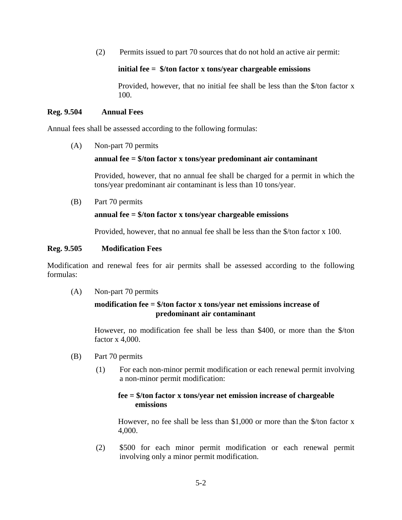(2) Permits issued to part 70 sources that do not hold an active air permit:

#### **initial fee = \$/ton factor x tons/year chargeable emissions**

Provided, however, that no initial fee shall be less than the \$/ton factor x 100.

#### **Reg. 9.504 Annual Fees**

Annual fees shall be assessed according to the following formulas:

(A) Non-part 70 permits

#### **annual fee = \$/ton factor x tons/year predominant air contaminant**

Provided, however, that no annual fee shall be charged for a permit in which the tons/year predominant air contaminant is less than 10 tons/year.

(B) Part 70 permits

#### **annual fee = \$/ton factor x tons/year chargeable emissions**

Provided, however, that no annual fee shall be less than the \$/ton factor x 100.

#### **Reg. 9.505 Modification Fees**

Modification and renewal fees for air permits shall be assessed according to the following formulas:

(A) Non-part 70 permits

#### **modification fee = \$/ton factor x tons/year net emissions increase of predominant air contaminant**

However, no modification fee shall be less than \$400, or more than the \$/ton factor x 4,000.

- (B) Part 70 permits
	- (1) For each non-minor permit modification or each renewal permit involving a non-minor permit modification:

#### **fee = \$/ton factor x tons/year net emission increase of chargeable emissions**

However, no fee shall be less than \$1,000 or more than the \$/ton factor x 4,000.

(2) \$500 for each minor permit modification or each renewal permit involving only a minor permit modification.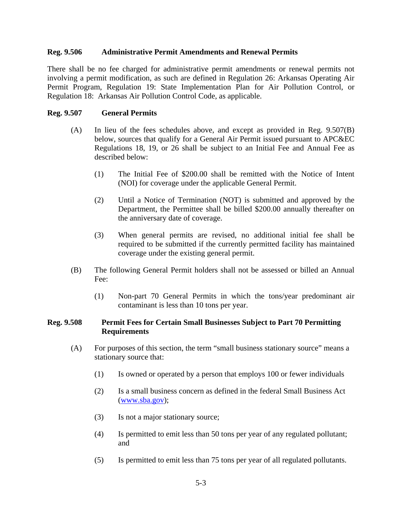#### **Reg. 9.506 Administrative Permit Amendments and Renewal Permits**

There shall be no fee charged for administrative permit amendments or renewal permits not involving a permit modification, as such are defined in Regulation 26: Arkansas Operating Air Permit Program, Regulation 19: State Implementation Plan for Air Pollution Control, or Regulation 18: Arkansas Air Pollution Control Code, as applicable.

#### **Reg. 9.507 General Permits**

- (A) In lieu of the fees schedules above, and except as provided in Reg. 9.507(B) below, sources that qualify for a General Air Permit issued pursuant to APC&EC Regulations 18, 19, or 26 shall be subject to an Initial Fee and Annual Fee as described below:
	- (1) The Initial Fee of \$200.00 shall be remitted with the Notice of Intent (NOI) for coverage under the applicable General Permit.
	- (2) Until a Notice of Termination (NOT) is submitted and approved by the Department, the Permittee shall be billed \$200.00 annually thereafter on the anniversary date of coverage.
	- (3) When general permits are revised, no additional initial fee shall be required to be submitted if the currently permitted facility has maintained coverage under the existing general permit.
- (B) The following General Permit holders shall not be assessed or billed an Annual Fee:
	- (1) Non-part 70 General Permits in which the tons/year predominant air contaminant is less than 10 tons per year.

#### **Reg. 9.508 Permit Fees for Certain Small Businesses Subject to Part 70 Permitting Requirements**

- (A) For purposes of this section, the term "small business stationary source" means a stationary source that:
	- (1) Is owned or operated by a person that employs 100 or fewer individuals
	- (2) Is a small business concern as defined in the federal Small Business Act (www.sba.gov);
	- (3) Is not a major stationary source;
	- (4) Is permitted to emit less than 50 tons per year of any regulated pollutant; and
	- (5) Is permitted to emit less than 75 tons per year of all regulated pollutants.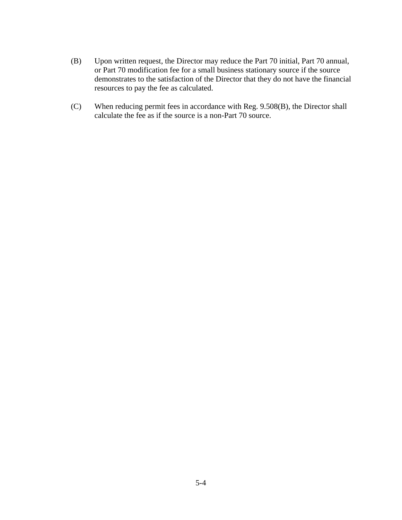- (B) Upon written request, the Director may reduce the Part 70 initial, Part 70 annual, or Part 70 modification fee for a small business stationary source if the source demonstrates to the satisfaction of the Director that they do not have the financial resources to pay the fee as calculated.
- (C) When reducing permit fees in accordance with Reg. 9.508(B), the Director shall calculate the fee as if the source is a non-Part 70 source.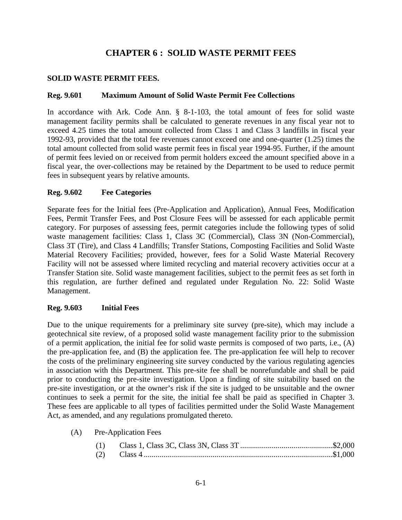# **CHAPTER 6 : SOLID WASTE PERMIT FEES**

#### **SOLID WASTE PERMIT FEES.**

#### **Reg. 9.601 Maximum Amount of Solid Waste Permit Fee Collections**

In accordance with Ark. Code Ann. § 8-1-103, the total amount of fees for solid waste management facility permits shall be calculated to generate revenues in any fiscal year not to exceed 4.25 times the total amount collected from Class 1 and Class 3 landfills in fiscal year 1992-93, provided that the total fee revenues cannot exceed one and one-quarter (1.25) times the total amount collected from solid waste permit fees in fiscal year 1994-95. Further, if the amount of permit fees levied on or received from permit holders exceed the amount specified above in a fiscal year, the over-collections may be retained by the Department to be used to reduce permit fees in subsequent years by relative amounts.

#### **Reg. 9.602 Fee Categories**

Separate fees for the Initial fees (Pre-Application and Application), Annual Fees, Modification Fees, Permit Transfer Fees, and Post Closure Fees will be assessed for each applicable permit category. For purposes of assessing fees, permit categories include the following types of solid waste management facilities: Class 1, Class 3C (Commercial), Class 3N (Non-Commercial), Class 3T (Tire), and Class 4 Landfills; Transfer Stations, Composting Facilities and Solid Waste Material Recovery Facilities; provided, however, fees for a Solid Waste Material Recovery Facility will not be assessed where limited recycling and material recovery activities occur at a Transfer Station site. Solid waste management facilities, subject to the permit fees as set forth in this regulation, are further defined and regulated under Regulation No. 22: Solid Waste Management.

#### **Reg. 9.603 Initial Fees**

Due to the unique requirements for a preliminary site survey (pre-site), which may include a geotechnical site review, of a proposed solid waste management facility prior to the submission of a permit application, the initial fee for solid waste permits is composed of two parts, i.e., (A) the pre-application fee, and (B) the application fee. The pre-application fee will help to recover the costs of the preliminary engineering site survey conducted by the various regulating agencies in association with this Department. This pre-site fee shall be nonrefundable and shall be paid prior to conducting the pre-site investigation. Upon a finding of site suitability based on the pre-site investigation, or at the owner's risk if the site is judged to be unsuitable and the owner continues to seek a permit for the site, the initial fee shall be paid as specified in Chapter 3. These fees are applicable to all types of facilities permitted under the Solid Waste Management Act, as amended, and any regulations promulgated thereto.

(A) Pre-Application Fees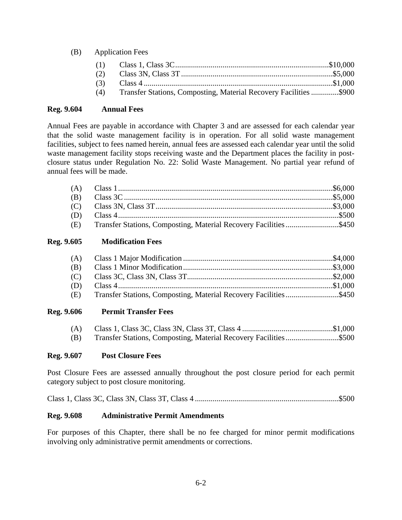#### (B) Application Fees

| المملك المنطاب المستحيل والمتحدث والمتحدث المتحدث المستحدث والمستحدث |  |
|----------------------------------------------------------------------|--|

(4) Transfer Stations, Composting, Material Recovery Facilities ..............\$900

#### **Reg. 9.604 Annual Fees**

Annual Fees are payable in accordance with Chapter 3 and are assessed for each calendar year that the solid waste management facility is in operation. For all solid waste management facilities, subject to fees named herein, annual fees are assessed each calendar year until the solid waste management facility stops receiving waste and the Department places the facility in postclosure status under Regulation No. 22: Solid Waste Management. No partial year refund of annual fees will be made.

| (E) Transfer Stations, Composting, Material Recovery Facilities\$450 |  |
|----------------------------------------------------------------------|--|

#### **Reg. 9.605 Modification Fees**

| (B) |                                                                  |  |
|-----|------------------------------------------------------------------|--|
|     |                                                                  |  |
| (D) |                                                                  |  |
| (E) | Transfer Stations, Composting, Material Recovery Facilities\$450 |  |

#### **Reg. 9.606 Permit Transfer Fees**

| (A) |  |
|-----|--|
| (B) |  |

#### **Reg. 9.607 Post Closure Fees**

Post Closure Fees are assessed annually throughout the post closure period for each permit category subject to post closure monitoring.

Class 1, Class 3C, Class 3N, Class 3T, Class 4 .........................................................................\$500

#### **Reg. 9.608 Administrative Permit Amendments**

For purposes of this Chapter, there shall be no fee charged for minor permit modifications involving only administrative permit amendments or corrections.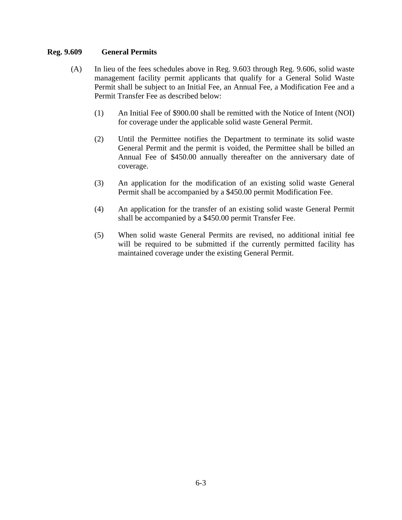#### **Reg. 9.609 General Permits**

- (A) In lieu of the fees schedules above in Reg. 9.603 through Reg. 9.606, solid waste management facility permit applicants that qualify for a General Solid Waste Permit shall be subject to an Initial Fee, an Annual Fee, a Modification Fee and a Permit Transfer Fee as described below:
	- (1) An Initial Fee of \$900.00 shall be remitted with the Notice of Intent (NOI) for coverage under the applicable solid waste General Permit.
	- (2) Until the Permittee notifies the Department to terminate its solid waste General Permit and the permit is voided, the Permittee shall be billed an Annual Fee of \$450.00 annually thereafter on the anniversary date of coverage.
	- (3) An application for the modification of an existing solid waste General Permit shall be accompanied by a \$450.00 permit Modification Fee.
	- (4) An application for the transfer of an existing solid waste General Permit shall be accompanied by a \$450.00 permit Transfer Fee.
	- (5) When solid waste General Permits are revised, no additional initial fee will be required to be submitted if the currently permitted facility has maintained coverage under the existing General Permit.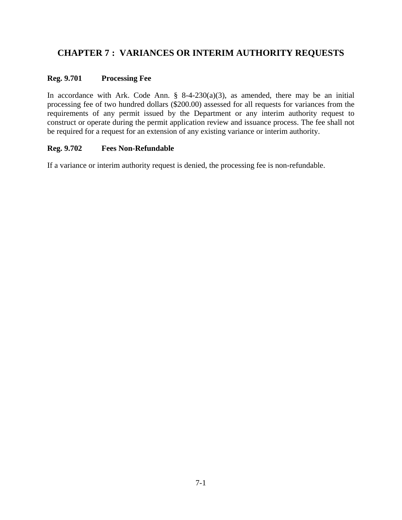# **CHAPTER 7 : VARIANCES OR INTERIM AUTHORITY REQUESTS**

#### **Reg. 9.701 Processing Fee**

In accordance with Ark. Code Ann.  $\S$  8-4-230(a)(3), as amended, there may be an initial processing fee of two hundred dollars (\$200.00) assessed for all requests for variances from the requirements of any permit issued by the Department or any interim authority request to construct or operate during the permit application review and issuance process. The fee shall not be required for a request for an extension of any existing variance or interim authority.

#### **Reg. 9.702 Fees Non-Refundable**

If a variance or interim authority request is denied, the processing fee is non-refundable.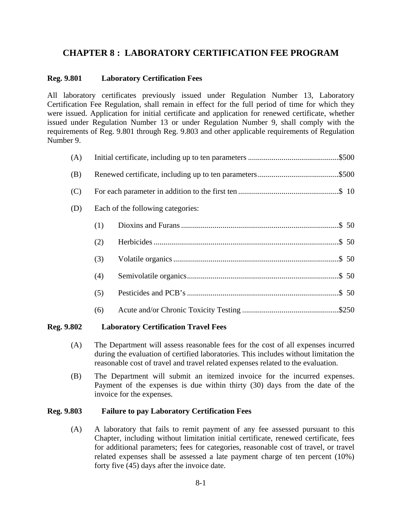# **CHAPTER 8 : LABORATORY CERTIFICATION FEE PROGRAM**

#### **Reg. 9.801 Laboratory Certification Fees**

All laboratory certificates previously issued under Regulation Number 13, Laboratory Certification Fee Regulation, shall remain in effect for the full period of time for which they were issued. Application for initial certificate and application for renewed certificate, whether issued under Regulation Number 13 or under Regulation Number 9, shall comply with the requirements of Reg. 9.801 through Reg. 9.803 and other applicable requirements of Regulation Number 9.

| (A) |     |                                   |  |
|-----|-----|-----------------------------------|--|
| (B) |     |                                   |  |
| (C) |     |                                   |  |
| (D) |     | Each of the following categories: |  |
|     | (1) |                                   |  |
|     | (2) |                                   |  |
|     | (3) |                                   |  |
|     | (4) |                                   |  |
|     | (5) |                                   |  |
|     | (6) |                                   |  |
|     |     |                                   |  |

#### **Reg. 9.802 Laboratory Certification Travel Fees**

- (A) The Department will assess reasonable fees for the cost of all expenses incurred during the evaluation of certified laboratories. This includes without limitation the reasonable cost of travel and travel related expenses related to the evaluation.
- (B) The Department will submit an itemized invoice for the incurred expenses. Payment of the expenses is due within thirty (30) days from the date of the invoice for the expenses.

#### **Reg. 9.803 Failure to pay Laboratory Certification Fees**

(A) A laboratory that fails to remit payment of any fee assessed pursuant to this Chapter, including without limitation initial certificate, renewed certificate, fees for additional parameters; fees for categories, reasonable cost of travel, or travel related expenses shall be assessed a late payment charge of ten percent (10%) forty five (45) days after the invoice date.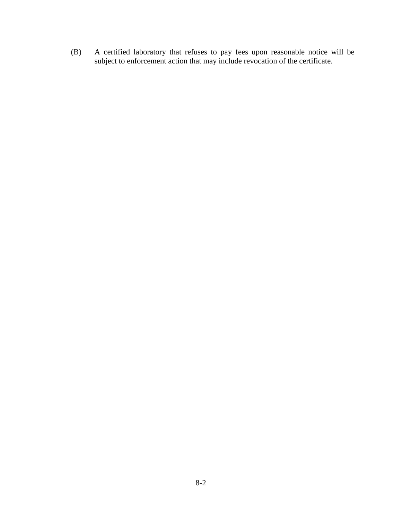(B) A certified laboratory that refuses to pay fees upon reasonable notice will be subject to enforcement action that may include revocation of the certificate.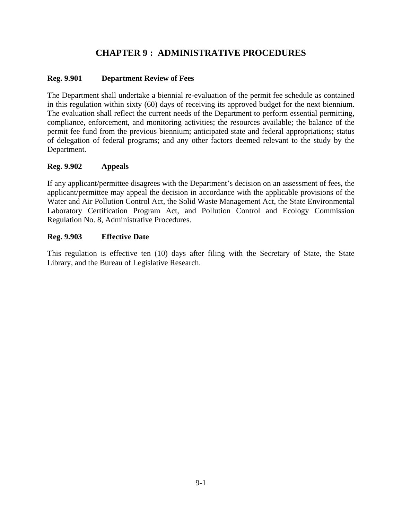# **CHAPTER 9 : ADMINISTRATIVE PROCEDURES**

#### **Reg. 9.901 Department Review of Fees**

The Department shall undertake a biennial re-evaluation of the permit fee schedule as contained in this regulation within sixty (60) days of receiving its approved budget for the next biennium. The evaluation shall reflect the current needs of the Department to perform essential permitting, compliance, enforcement, and monitoring activities; the resources available; the balance of the permit fee fund from the previous biennium; anticipated state and federal appropriations; status of delegation of federal programs; and any other factors deemed relevant to the study by the Department.

#### **Reg. 9.902 Appeals**

If any applicant/permittee disagrees with the Department's decision on an assessment of fees, the applicant/permittee may appeal the decision in accordance with the applicable provisions of the Water and Air Pollution Control Act, the Solid Waste Management Act, the State Environmental Laboratory Certification Program Act, and Pollution Control and Ecology Commission Regulation No. 8, Administrative Procedures.

#### **Reg. 9.903 Effective Date**

This regulation is effective ten (10) days after filing with the Secretary of State, the State Library, and the Bureau of Legislative Research.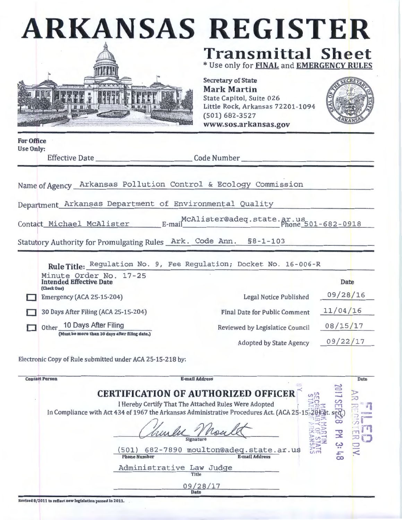|                                       | <b>ARKANSAS REGISTER</b>                                                                                                                                                                                 |                                                                                                                                                               |          |
|---------------------------------------|----------------------------------------------------------------------------------------------------------------------------------------------------------------------------------------------------------|---------------------------------------------------------------------------------------------------------------------------------------------------------------|----------|
|                                       |                                                                                                                                                                                                          | <b>Transmittal Sheet</b><br>* Use only for <b>FINAL</b> and <b>EMERGENCY RULES</b>                                                                            |          |
|                                       |                                                                                                                                                                                                          | <b>Secretary of State</b><br><b>Mark Martin</b><br>State Capitol, Suite 026<br>Little Rock, Arkansas 72201-1094<br>$(501) 682 - 3527$<br>www.sos.arkansas.gov |          |
| <b>For Office</b><br><b>Use Only:</b> |                                                                                                                                                                                                          |                                                                                                                                                               |          |
|                                       | Effective Date __________________________________Code Number ___________________                                                                                                                         |                                                                                                                                                               |          |
|                                       | Department Arkansas Department of Environmental Quality<br>Contact Michael McAlister McAlister@adeq.state.ar.us Phone 501-682-0918<br>Statutory Authority for Promulgating Rules Ark. Code Ann. §8-1-103 |                                                                                                                                                               |          |
|                                       | Rule Title: Regulation No. 9, Fee Regulation; Docket No. 16-006-R<br>Minute Order No. 17-25<br><b>Intended Effective Date</b>                                                                            |                                                                                                                                                               | Date     |
|                                       | (Check One)<br>Emergency (ACA 25-15-204)                                                                                                                                                                 | Legal Notice Published                                                                                                                                        | 09/28/16 |
|                                       | 30 Days After Filing (ACA 25-15-204)                                                                                                                                                                     | <b>Final Date for Public Comment</b>                                                                                                                          | 11/04/16 |
|                                       | 10 Days After Filing<br><b>Other</b><br>(Must be more than 30 days after filing date.)                                                                                                                   | Reviewed by Legislatice Council                                                                                                                               | 08/15/17 |
|                                       |                                                                                                                                                                                                          | <b>Adopted by State Agency</b>                                                                                                                                | 09/22/17 |
|                                       | Electronic Copy of Rule submitted under ACA 25-15-218 by:                                                                                                                                                |                                                                                                                                                               |          |
|                                       | <b>Contact Person</b>                                                                                                                                                                                    | <b>E-mail Address</b>                                                                                                                                         | Date     |
|                                       | In Compliance with Act 434 of 1967 the Arkansas Administrative Procedures Act. (ACA 25-15<br>501)                                                                                                        | <b>CERTIFICATION OF AUTHORIZED OFFICER</b><br>$u^{\sigma}$<br>I Hereby Certify That The Attached Rules Were Adopted<br>682-7890 moulton@adeq.state.ar.us      | ය<br>군   |
|                                       | <b>Phone Number</b>                                                                                                                                                                                      | <b>E-mail Address</b>                                                                                                                                         |          |

Administrative Law Judge

09/28/17 Date

Revised 8/ZOll to reflect new legislation passed In ZOll.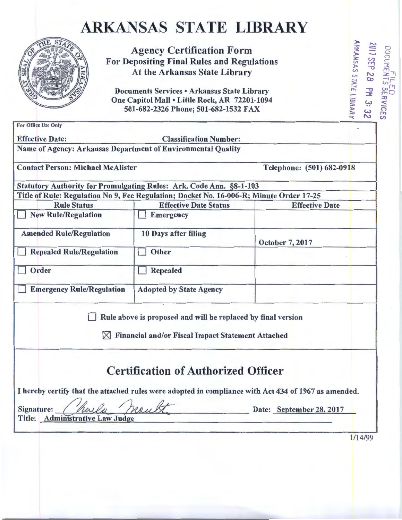# ARKANSAS STATE LIBRARY



Agency Certification Form<br>epositing Final Rules and Regulations<br>At the Arkansas State Library<br>uments Services • Arkansas State Library<br>Capitol Mall • Little Rock, AR 72201-1094<br>01-682-2326 Phone; 501-682-1532 FAX For Depositing Final Rules and Regulations<br>At the Arkansas State Library (1)  $\frac{25}{3}$   $\frac{63}{3}$   $\frac{62}{3}$   $\frac{7}{2}$ Agency Certification Form<br>
or Depositing Final Rules and Regulations<br>
At the Arkansas State Library<br>
Documents Services • Arkansas State Library<br>
One Capitol Mall • Little Rock, AR 72201-1094<br>
501-682-2326 Phone; 501-682-1

One Capitol Mall • Little Rock, AR 72201-1094 501-682-2326 Phone; 501-682-1532 FAX

**VVICES<br>3:32<br>BRARY** For Office Use Only **Executive Constant Constant Constant Constant Constant Constant Constant Constant Constant** Effective Date: Classification Number: Name of Agency: Arkansas Department of Environmental Quality Contact Person: Michael McAlister Telephone: (501) 682-0918 Statutory Authority for Promulgating Rules: Ark. Code Ann. §8-1-103 Title of Rule: Regulation No 9, Fee Regulation; Docket No. 16-006-R; Minute Order 17-25 Rule Status<br>
<u>Effective Date Status</u><br>
Effective Date Intervency<br>
Effective Date Intervency<br>
Effective Date **New Rule/Regulation** Amended Rule/Regulation 10 Days after filing October 7, 2017 Repealed Rule/Regulation  $\Box$  Other Order Repealed I Emergency Rule/Regulation | Adopted by State Agency  $\Box$  Rule above is proposed and will be replaced by final version  $\times$  Financial and/or Fiscal Impact Statement Attached **Certification of Authorized Officer** I hereby certify that the attached rules were adopted in compliance with Act 434 of 1967 as amended. Signature:  $\int$  hold head  $\frac{1}{2}$  Date: September 28, 2017 Title: Admimstrative Law Judge

1/14/99

OC<br>201<br>ARK

0C<br>11 - .<br>J (4 V

 $\frac{1}{2}$ <br> $\frac{1}{2}$ <br> $\frac{1}{2}$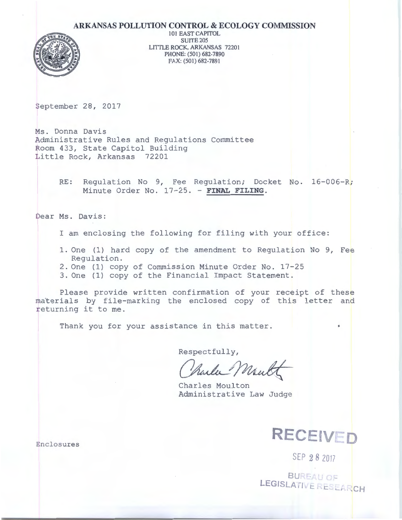#### **ARKANSAS POLLUTION CONTROL & ECOLOGY COMMISSION**



101 EAST CAPITOL SUITE 205 LITTLE ROCK, ARKANSAS 72201 PHONE: (501) 682-7890 FAX: (501) 682-7891

September 28, 2017

Ms. Donna Davis Administrative Rules and Regulations Committee Room 433, State Capitol Building Little Rock, Arkansas 72201

> RE: Regulation No 9, Fee Regulation; Docket No. 16-006-R; Minute Order No. 17-25. - FINAL FILING.

Dear Ms. Davis:

I am enclosing the following for filing with your office:

- 1. One (1) hard copy of the amendment to Regulation No 9, Fee Regulation.
- 2. One (1) copy of Commission Minute Order No. 17-25
- 3. One (1) copy of the Financial Impact Statement.

Please provide written confirmation of your receipt of these materials by file-marking the enclosed copy of this letter and returning it to me.

Thank you for your assistance in this matter.

Respectfully,

Mund ılı

Charles Moulton Administrative Law Judge



SEP **2 8** <sup>2017</sup>

**BUREAU OF LEGISLA 1 t: '--'---!,2CH** 

Enclosures